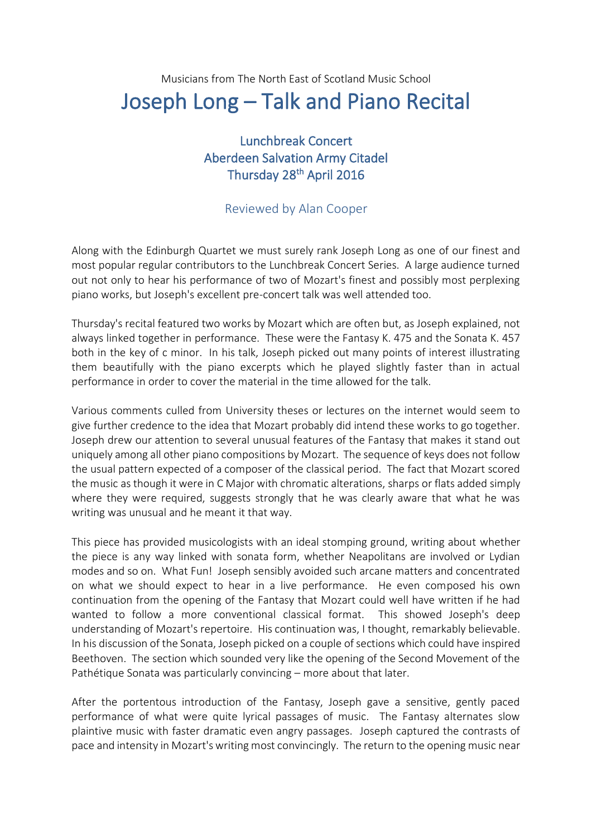## Musicians from The North East of Scotland Music School Joseph Long – Talk and Piano Recital

## Lunchbreak Concert Aberdeen Salvation Army Citadel Thursday 28<sup>th</sup> April 2016

## Reviewed by Alan Cooper

Along with the Edinburgh Quartet we must surely rank Joseph Long as one of our finest and most popular regular contributors to the Lunchbreak Concert Series. A large audience turned out not only to hear his performance of two of Mozart's finest and possibly most perplexing piano works, but Joseph's excellent pre-concert talk was well attended too.

Thursday's recital featured two works by Mozart which are often but, as Joseph explained, not always linked together in performance. These were the Fantasy K. 475 and the Sonata K. 457 both in the key of c minor. In his talk, Joseph picked out many points of interest illustrating them beautifully with the piano excerpts which he played slightly faster than in actual performance in order to cover the material in the time allowed for the talk.

Various comments culled from University theses or lectures on the internet would seem to give further credence to the idea that Mozart probably did intend these works to go together. Joseph drew our attention to several unusual features of the Fantasy that makes it stand out uniquely among all other piano compositions by Mozart. The sequence of keys does not follow the usual pattern expected of a composer of the classical period. The fact that Mozart scored the music as though it were in C Major with chromatic alterations, sharps or flats added simply where they were required, suggests strongly that he was clearly aware that what he was writing was unusual and he meant it that way.

This piece has provided musicologists with an ideal stomping ground, writing about whether the piece is any way linked with sonata form, whether Neapolitans are involved or Lydian modes and so on. What Fun! Joseph sensibly avoided such arcane matters and concentrated on what we should expect to hear in a live performance. He even composed his own continuation from the opening of the Fantasy that Mozart could well have written if he had wanted to follow a more conventional classical format. This showed Joseph's deep understanding of Mozart's repertoire. His continuation was, I thought, remarkably believable. In his discussion of the Sonata, Joseph picked on a couple of sections which could have inspired Beethoven. The section which sounded very like the opening of the Second Movement of the Pathétique Sonata was particularly convincing – more about that later.

After the portentous introduction of the Fantasy, Joseph gave a sensitive, gently paced performance of what were quite lyrical passages of music. The Fantasy alternates slow plaintive music with faster dramatic even angry passages. Joseph captured the contrasts of pace and intensity in Mozart's writing most convincingly. The return to the opening music near